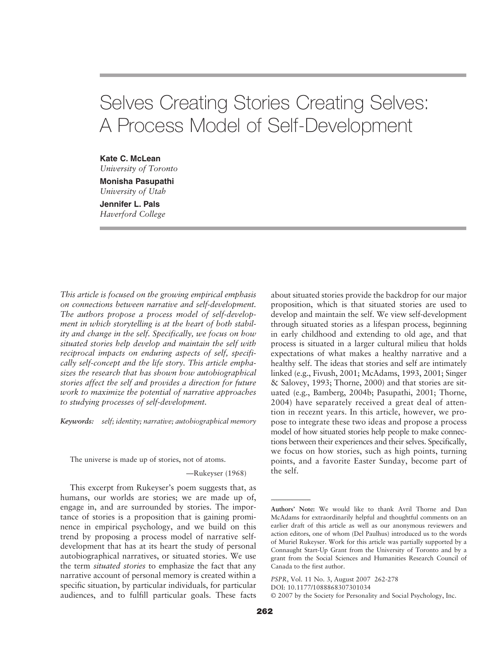# Selves Creating Stories Creating Selves: A Process Model of Self-Development

**Kate C. McLean** *University of Toronto*

**Monisha Pasupathi** *University of Utah*

**Jennifer L. Pals** *Haverford College*

*This article is focused on the growing empirical emphasis on connections between narrative and self-development. The authors propose a process model of self-development in which storytelling is at the heart of both stability and change in the self. Specifically, we focus on how situated stories help develop and maintain the self with reciprocal impacts on enduring aspects of self, specifically self-concept and the life story. This article emphasizes the research that has shown how autobiographical stories affect the self and provides a direction for future work to maximize the potential of narrative approaches to studying processes of self-development.*

*Keywords: self; identity; narrative; autobiographical memory*

The universe is made up of stories, not of atoms.

—Rukeyser (1968)

This excerpt from Rukeyser's poem suggests that, as humans, our worlds are stories; we are made up of, engage in, and are surrounded by stories. The importance of stories is a proposition that is gaining prominence in empirical psychology, and we build on this trend by proposing a process model of narrative selfdevelopment that has at its heart the study of personal autobiographical narratives, or situated stories. We use the term *situated stories* to emphasize the fact that any narrative account of personal memory is created within a specific situation, by particular individuals, for particular audiences, and to fulfill particular goals. These facts about situated stories provide the backdrop for our major proposition, which is that situated stories are used to develop and maintain the self. We view self-development through situated stories as a lifespan process, beginning in early childhood and extending to old age, and that process is situated in a larger cultural milieu that holds expectations of what makes a healthy narrative and a healthy self. The ideas that stories and self are intimately linked (e.g., Fivush, 2001; McAdams, 1993, 2001; Singer & Salovey, 1993; Thorne, 2000) and that stories are situated (e.g., Bamberg, 2004b; Pasupathi, 2001; Thorne, 2004) have separately received a great deal of attention in receznt years. In this article, however, we propose to integrate these two ideas and propose a process model of how situated stories help people to make connections between their experiences and their selves. Specifically, we focus on how stories, such as high points, turning points, and a favorite Easter Sunday, become part of the self.

**Authors' Note:** We would like to thank Avril Thorne and Dan McAdams for extraordinarily helpful and thoughtful comments on an earlier draft of this article as well as our anonymous reviewers and action editors, one of whom (Del Paulhus) introduced us to the words of Muriel Rukeyser. Work for this article was partially supported by a Connaught Start-Up Grant from the University of Toronto and by a grant from the Social Sciences and Humanities Research Council of Canada to the first author.

*PSPR*, Vol. 11 No. 3, August 2007 262-278 DOI: 10.1177/1088868307301034

<sup>© 2007</sup> by the Society for Personality and Social Psychology, Inc.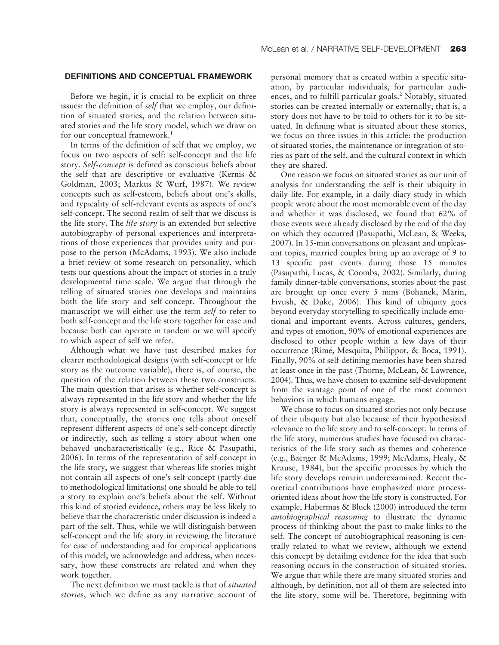## **DEFINITIONS AND CONCEPTUAL FRAMEWORK**

Before we begin, it is crucial to be explicit on three issues: the definition of *self* that we employ, our definition of situated stories, and the relation between situated stories and the life story model, which we draw on for our conceptual framework.<sup>1</sup>

In terms of the definition of self that we employ, we focus on two aspects of self: self-concept and the life story. *Self-concept* is defined as conscious beliefs about the self that are descriptive or evaluative (Kernis & Goldman, 2003; Markus & Wurf, 1987). We review concepts such as self-esteem, beliefs about one's skills, and typicality of self-relevant events as aspects of one's self-concept. The second realm of self that we discuss is the life story. The *life story* is an extended but selective autobiography of personal experiences and interpretations of those experiences that provides unity and purpose to the person (McAdams, 1993). We also include a brief review of some research on personality, which tests our questions about the impact of stories in a truly developmental time scale. We argue that through the telling of situated stories one develops and maintains both the life story and self-concept. Throughout the manuscript we will either use the term *self* to refer to both self-concept and the life story together for ease and because both can operate in tandem or we will specify to which aspect of self we refer.

Although what we have just described makes for clearer methodological designs (with self-concept or life story as the outcome variable), there is, of course, the question of the relation between these two constructs. The main question that arises is whether self-concept is always represented in the life story and whether the life story is always represented in self-concept. We suggest that, conceptually, the stories one tells about oneself represent different aspects of one's self-concept directly or indirectly, such as telling a story about when one behaved uncharacteristically (e.g., Rice & Pasupathi, 2006). In terms of the representation of self-concept in the life story, we suggest that whereas life stories might not contain all aspects of one's self-concept (partly due to methodological limitations) one should be able to tell a story to explain one's beliefs about the self. Without this kind of storied evidence, others may be less likely to believe that the characteristic under discussion is indeed a part of the self. Thus, while we will distinguish between self-concept and the life story in reviewing the literature for ease of understanding and for empirical applications of this model, we acknowledge and address, when necessary, how these constructs are related and when they work together.

The next definition we must tackle is that of *situated stories*, which we define as any narrative account of personal memory that is created within a specific situation, by particular individuals, for particular audiences, and to fulfill particular goals. <sup>2</sup> Notably, situated stories can be created internally or externally; that is, a story does not have to be told to others for it to be situated. In defining what is situated about these stories, we focus on three issues in this article: the production of situated stories, the maintenance or integration of stories as part of the self, and the cultural context in which they are shared.

One reason we focus on situated stories as our unit of analysis for understanding the self is their ubiquity in daily life. For example, in a daily diary study in which people wrote about the most memorable event of the day and whether it was disclosed, we found that 62% of those events were already disclosed by the end of the day on which they occurred (Pasupathi, McLean, & Weeks, 2007). In 15-min conversations on pleasant and unpleasant topics, married couples bring up an average of 9 to 13 specific past events during those 15 minutes (Pasupathi, Lucas, & Coombs, 2002). Similarly, during family dinner-table conversations, stories about the past are brought up once every 5 mins (Bohanek, Marin, Fivush, & Duke, 2006). This kind of ubiquity goes beyond everyday storytelling to specifically include emotional and important events. Across cultures, genders, and types of emotion, 90% of emotional experiences are disclosed to other people within a few days of their occurrence (Rimé, Mesquita, Philippot, & Boca, 1991). Finally, 90% of self-defining memories have been shared at least once in the past (Thorne, McLean, & Lawrence, 2004). Thus, we have chosen to examine self-development from the vantage point of one of the most common behaviors in which humans engage.

We chose to focus on situated stories not only because of their ubiquity but also because of their hypothesized relevance to the life story and to self-concept. In terms of the life story, numerous studies have focused on characteristics of the life story such as themes and coherence (e.g., Baerger & McAdams, 1999; McAdams, Healy, & Krause, 1984), but the specific processes by which the life story develops remain underexamined. Recent theoretical contributions have emphasized more processoriented ideas about how the life story is constructed. For example, Habermas & Bluck (2000) introduced the term *autobiographical reasoning* to illustrate the dynamic process of thinking about the past to make links to the self. The concept of autobiographical reasoning is centrally related to what we review, although we extend this concept by detailing evidence for the idea that such reasoning occurs in the construction of situated stories. We argue that while there are many situated stories and although, by definition, not all of them are selected into the life story, some will be. Therefore, beginning with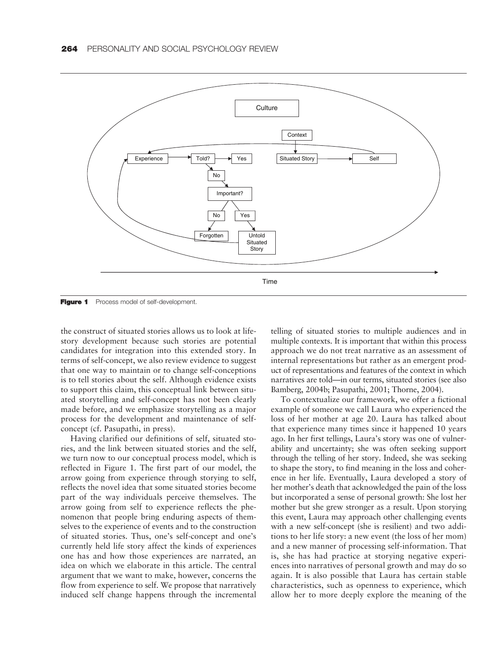

**Figure 1** Process model of self-development.

the construct of situated stories allows us to look at lifestory development because such stories are potential candidates for integration into this extended story. In terms of self-concept, we also review evidence to suggest that one way to maintain or to change self-conceptions is to tell stories about the self. Although evidence exists to support this claim, this conceptual link between situated storytelling and self-concept has not been clearly made before, and we emphasize storytelling as a major process for the development and maintenance of selfconcept (cf. Pasupathi, in press).

Having clarified our definitions of self, situated stories, and the link between situated stories and the self, we turn now to our conceptual process model, which is reflected in Figure 1. The first part of our model, the arrow going from experience through storying to self, reflects the novel idea that some situated stories become part of the way individuals perceive themselves. The arrow going from self to experience reflects the phenomenon that people bring enduring aspects of themselves to the experience of events and to the construction of situated stories. Thus, one's self-concept and one's currently held life story affect the kinds of experiences one has and how those experiences are narrated, an idea on which we elaborate in this article. The central argument that we want to make, however, concerns the flow from experience to self. We propose that narratively induced self change happens through the incremental telling of situated stories to multiple audiences and in multiple contexts. It is important that within this process approach we do not treat narrative as an assessment of internal representations but rather as an emergent product of representations and features of the context in which narratives are told—in our terms, situated stories (see also Bamberg, 2004b; Pasupathi, 2001; Thorne, 2004).

To contextualize our framework, we offer a fictional example of someone we call Laura who experienced the loss of her mother at age 20. Laura has talked about that experience many times since it happened 10 years ago. In her first tellings, Laura's story was one of vulnerability and uncertainty; she was often seeking support through the telling of her story. Indeed, she was seeking to shape the story, to find meaning in the loss and coherence in her life. Eventually, Laura developed a story of her mother's death that acknowledged the pain of the loss but incorporated a sense of personal growth: She lost her mother but she grew stronger as a result. Upon storying this event, Laura may approach other challenging events with a new self*-*concept (she is resilient) and two additions to her life story: a new event (the loss of her mom) and a new manner of processing self-information. That is, she has had practice at storying negative experiences into narratives of personal growth and may do so again. It is also possible that Laura has certain stable characteristics, such as openness to experience, which allow her to more deeply explore the meaning of the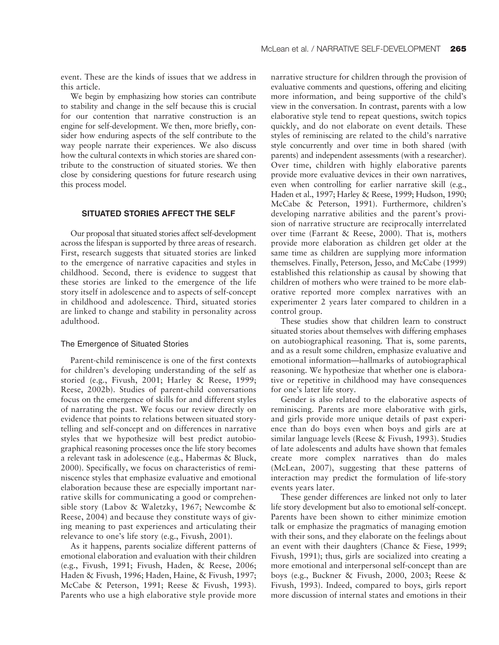event. These are the kinds of issues that we address in this article.

We begin by emphasizing how stories can contribute to stability and change in the self because this is crucial for our contention that narrative construction is an engine for self-development. We then, more briefly, consider how enduring aspects of the self contribute to the way people narrate their experiences. We also discuss how the cultural contexts in which stories are shared contribute to the construction of situated stories. We then close by considering questions for future research using this process model.

### **SITUATED STORIES AFFECT THE SELF**

Our proposal that situated stories affect self-development across the lifespan is supported by three areas of research. First, research suggests that situated stories are linked to the emergence of narrative capacities and styles in childhood. Second, there is evidence to suggest that these stories are linked to the emergence of the life story itself in adolescence and to aspects of self-concept in childhood and adolescence. Third, situated stories are linked to change and stability in personality across adulthood.

#### The Emergence of Situated Stories

Parent-child reminiscence is one of the first contexts for children's developing understanding of the self as storied (e.g., Fivush, 2001; Harley & Reese, 1999; Reese, 2002b). Studies of parent-child conversations focus on the emergence of skills for and different styles of narrating the past. We focus our review directly on evidence that points to relations between situated storytelling and self-concept and on differences in narrative styles that we hypothesize will best predict autobiographical reasoning processes once the life story becomes a relevant task in adolescence (e.g., Habermas & Bluck, 2000). Specifically, we focus on characteristics of reminiscence styles that emphasize evaluative and emotional elaboration because these are especially important narrative skills for communicating a good or comprehensible story (Labov & Waletzky, 1967; Newcombe & Reese, 2004) and because they constitute ways of giving meaning to past experiences and articulating their relevance to one's life story (e.g., Fivush, 2001).

As it happens, parents socialize different patterns of emotional elaboration and evaluation with their children (e.g., Fivush, 1991; Fivush, Haden, & Reese, 2006; Haden & Fivush, 1996; Haden, Haine, & Fivush, 1997; McCabe & Peterson, 1991; Reese & Fivush, 1993). Parents who use a high elaborative style provide more

narrative structure for children through the provision of evaluative comments and questions, offering and eliciting more information, and being supportive of the child's view in the conversation. In contrast, parents with a low elaborative style tend to repeat questions, switch topics quickly, and do not elaborate on event details. These styles of reminiscing are related to the child's narrative style concurrently and over time in both shared (with parents) and independent assessments (with a researcher). Over time, children with highly elaborative parents provide more evaluative devices in their own narratives, even when controlling for earlier narrative skill (e.g., Haden et al., 1997; Harley & Reese, 1999; Hudson, 1990; McCabe & Peterson, 1991). Furthermore, children's developing narrative abilities and the parent's provision of narrative structure are reciprocally interrelated over time (Farrant & Reese, 2000). That is, mothers provide more elaboration as children get older at the same time as children are supplying more information themselves. Finally, Peterson, Jesso, and McCabe (1999) established this relationship as causal by showing that children of mothers who were trained to be more elaborative reported more complex narratives with an experimenter 2 years later compared to children in a control group.

These studies show that children learn to construct situated stories about themselves with differing emphases on autobiographical reasoning. That is, some parents, and as a result some children, emphasize evaluative and emotional information—hallmarks of autobiographical reasoning. We hypothesize that whether one is elaborative or repetitive in childhood may have consequences for one's later life story.

Gender is also related to the elaborative aspects of reminiscing. Parents are more elaborative with girls, and girls provide more unique details of past experience than do boys even when boys and girls are at similar language levels (Reese & Fivush, 1993). Studies of late adolescents and adults have shown that females create more complex narratives than do males (McLean, 2007), suggesting that these patterns of interaction may predict the formulation of life-story events years later.

These gender differences are linked not only to later life story development but also to emotional self-concept. Parents have been shown to either minimize emotion talk or emphasize the pragmatics of managing emotion with their sons, and they elaborate on the feelings about an event with their daughters (Chance & Fiese, 1999; Fivush, 1991); thus, girls are socialized into creating a more emotional and interpersonal self-concept than are boys (e.g., Buckner & Fivush, 2000, 2003; Reese & Fivush, 1993). Indeed, compared to boys, girls report more discussion of internal states and emotions in their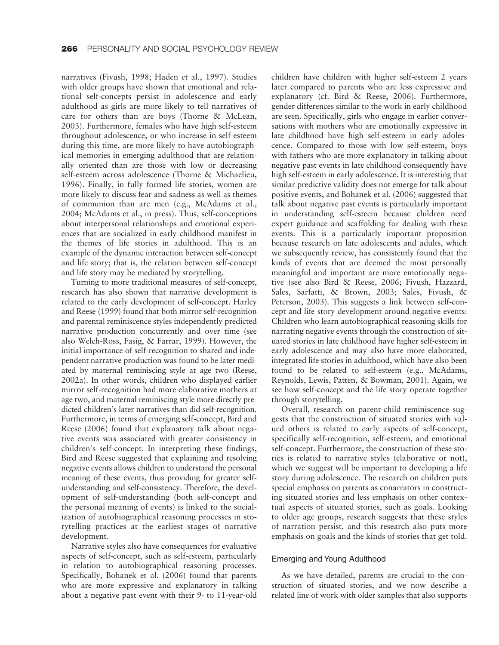narratives (Fivush, 1998; Haden et al., 1997). Studies with older groups have shown that emotional and relational self-concepts persist in adolescence and early adulthood as girls are more likely to tell narratives of care for others than are boys (Thorne & McLean, 2003). Furthermore, females who have high self-esteem throughout adolescence, or who increase in self-esteem during this time, are more likely to have autobiographical memories in emerging adulthood that are relationally oriented than are those with low or decreasing self-esteem across adolescence (Thorne & Michaelieu, 1996). Finally, in fully formed life stories, women are more likely to discuss fear and sadness as well as themes of communion than are men (e.g., McAdams et al., 2004; McAdams et al., in press). Thus, self-conceptions about interpersonal relationships and emotional experiences that are socialized in early childhood manifest in the themes of life stories in adulthood. This is an example of the dynamic interaction between self-concept and life story; that is, the relation between self-concept and life story may be mediated by storytelling.

Turning to more traditional measures of self-concept, research has also shown that narrative development is related to the early development of self-concept. Harley and Reese (1999) found that both mirror self-recognition and parental reminiscence styles independently predicted narrative production concurrently and over time (see also Welch-Ross, Fasig, & Farrar, 1999). However, the initial importance of self-recognition to shared and independent narrative production was found to be later mediated by maternal reminiscing style at age two (Reese, 2002a). In other words, children who displayed earlier mirror self-recognition had more elaborative mothers at age two, and maternal reminiscing style more directly predicted children's later narratives than did self-recognition. Furthermore, in terms of emerging self-concept, Bird and Reese (2006) found that explanatory talk about negative events was associated with greater consistency in children's self-concept. In interpreting these findings, Bird and Reese suggested that explaining and resolving negative events allows children to understand the personal meaning of these events, thus providing for greater selfunderstanding and self-consistency. Therefore, the development of self-understanding (both self-concept and the personal meaning of events) is linked to the socialization of autobiographical reasoning processes in storytelling practices at the earliest stages of narrative development.

Narrative styles also have consequences for evaluative aspects of self-concept, such as self-esteem, particularly in relation to autobiographical reasoning processes. Specifically, Bohanek et al. (2006) found that parents who are more expressive and explanatory in talking about a negative past event with their 9- to 11-year-old

children have children with higher self-esteem 2 years later compared to parents who are less expressive and explanatory (cf. Bird & Reese, 2006). Furthermore, gender differences similar to the work in early childhood are seen. Specifically, girls who engage in earlier conversations with mothers who are emotionally expressive in late childhood have high self-esteem in early adolescence. Compared to those with low self-esteem, boys with fathers who are more explanatory in talking about negative past events in late childhood consequently have high self-esteem in early adolescence. It is interesting that similar predictive validity does not emerge for talk about positive events, and Bohanek et al. (2006) suggested that talk about negative past events is particularly important in understanding self-esteem because children need expert guidance and scaffolding for dealing with these events. This is a particularly important proposition because research on late adolescents and adults, which we subsequently review, has consistently found that the kinds of events that are deemed the most personally meaningful and important are more emotionally negative (see also Bird & Reese, 2006; Fivush, Hazzard, Sales, Sarfatti, & Brown, 2003; Sales, Fivush, & Peterson, 2003). This suggests a link between self-concept and life story development around negative events: Children who learn autobiographical reasoning skills for narrating negative events through the construction of situated stories in late childhood have higher self-esteem in early adolescence and may also have more elaborated, integrated life stories in adulthood, which have also been found to be related to self-esteem (e.g., McAdams, Reynolds, Lewis, Patten, & Bowman, 2001). Again, we see how self-concept and the life story operate together through storytelling.

Overall, research on parent-child reminiscence suggests that the construction of situated stories with valued others is related to early aspects of self-concept, specifically self-recognition, self-esteem, and emotional self-concept. Furthermore, the construction of these stories is related to narrative styles (elaborative or not), which we suggest will be important to developing a life story during adolescence. The research on children puts special emphasis on parents as conarrators in constructing situated stories and less emphasis on other contextual aspects of situated stories, such as goals. Looking to older age groups, research suggests that these styles of narration persist, and this research also puts more emphasis on goals and the kinds of stories that get told.

## Emerging and Young Adulthood

As we have detailed, parents are crucial to the construction of situated stories, and we now describe a related line of work with older samples that also supports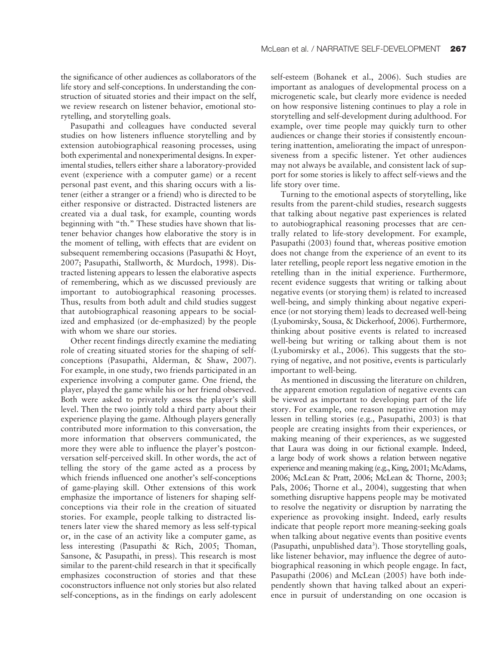the significance of other audiences as collaborators of the life story and self-conceptions. In understanding the construction of situated stories and their impact on the self, we review research on listener behavior, emotional storytelling, and storytelling goals.

Pasupathi and colleagues have conducted several studies on how listeners influence storytelling and by extension autobiographical reasoning processes, using both experimental and nonexperimental designs. In experimental studies, tellers either share a laboratory-provided event (experience with a computer game) or a recent personal past event, and this sharing occurs with a listener (either a stranger or a friend) who is directed to be either responsive or distracted. Distracted listeners are created via a dual task, for example, counting words beginning with "th." These studies have shown that listener behavior changes how elaborative the story is in the moment of telling, with effects that are evident on subsequent remembering occasions (Pasupathi & Hoyt, 2007; Pasupathi, Stallworth, & Murdoch, 1998). Distracted listening appears to lessen the elaborative aspects of remembering, which as we discussed previously are important to autobiographical reasoning processes. Thus, results from both adult and child studies suggest that autobiographical reasoning appears to be socialized and emphasized (or de-emphasized) by the people with whom we share our stories.

Other recent findings directly examine the mediating role of creating situated stories for the shaping of selfconceptions (Pasupathi, Alderman, & Shaw, 2007). For example, in one study, two friends participated in an experience involving a computer game. One friend, the player, played the game while his or her friend observed. Both were asked to privately assess the player's skill level. Then the two jointly told a third party about their experience playing the game. Although players generally contributed more information to this conversation, the more information that observers communicated, the more they were able to influence the player's postconversation self-perceived skill. In other words, the act of telling the story of the game acted as a process by which friends influenced one another's self-conceptions of game-playing skill. Other extensions of this work emphasize the importance of listeners for shaping selfconceptions via their role in the creation of situated stories. For example, people talking to distracted listeners later view the shared memory as less self-typical or, in the case of an activity like a computer game, as less interesting (Pasupathi & Rich, 2005; Thoman, Sansone, & Pasupathi, in press). This research is most similar to the parent-child research in that it specifically emphasizes coconstruction of stories and that these coconstructors influence not only stories but also related self-conceptions, as in the findings on early adolescent self-esteem (Bohanek et al., 2006). Such studies are important as analogues of developmental process on a microgenetic scale, but clearly more evidence is needed on how responsive listening continues to play a role in storytelling and self-development during adulthood. For example, over time people may quickly turn to other audiences or change their stories if consistently encountering inattention, ameliorating the impact of unresponsiveness from a specific listener. Yet other audiences may not always be available, and consistent lack of support for some stories is likely to affect self-views and the life story over time.

Turning to the emotional aspects of storytelling, like results from the parent-child studies, research suggests that talking about negative past experiences is related to autobiographical reasoning processes that are centrally related to life-story development. For example, Pasupathi (2003) found that, whereas positive emotion does not change from the experience of an event to its later retelling, people report less negative emotion in the retelling than in the initial experience. Furthermore, recent evidence suggests that writing or talking about negative events (or storying them) is related to increased well-being, and simply thinking about negative experience (or not storying them) leads to decreased well-being (Lyubomirsky, Sousa, & Dickerhoof, 2006). Furthermore, thinking about positive events is related to increased well-being but writing or talking about them is not (Lyubomirsky et al., 2006). This suggests that the storying of negative, and not positive, events is particularly important to well-being.

As mentioned in discussing the literature on children, the apparent emotion regulation of negative events can be viewed as important to developing part of the life story. For example, one reason negative emotion may lessen in telling stories (e.g., Pasupathi, 2003) is that people are creating insights from their experiences, or making meaning of their experiences, as we suggested that Laura was doing in our fictional example. Indeed, a large body of work shows a relation between negative experience and meaning making (e.g., King, 2001; McAdams, 2006; McLean & Pratt, 2006; McLean & Thorne, 2003; Pals, 2006; Thorne et al., 2004), suggesting that when something disruptive happens people may be motivated to resolve the negativity or disruption by narrating the experience as provoking insight. Indeed, early results indicate that people report more meaning-seeking goals when talking about negative events than positive events (Pasupathi, unpublished data<sup>3</sup>). Those storytelling goals, like listener behavior, may influence the degree of autobiographical reasoning in which people engage. In fact, Pasupathi (2006) and McLean (2005) have both independently shown that having talked about an experience in pursuit of understanding on one occasion is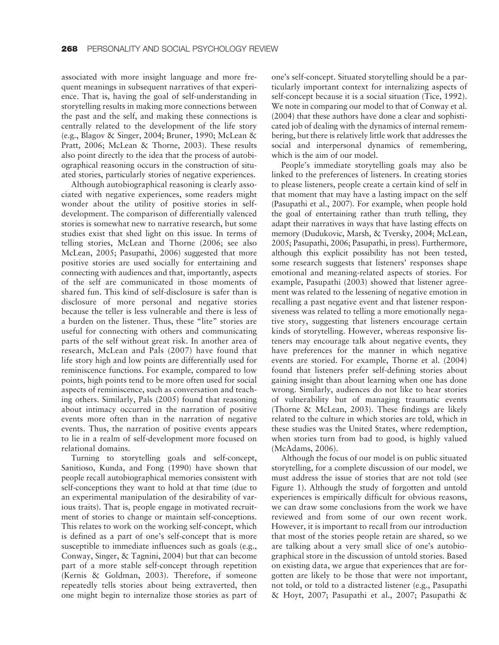associated with more insight language and more frequent meanings in subsequent narratives of that experience. That is, having the goal of self-understanding in storytelling results in making more connections between the past and the self, and making these connections is centrally related to the development of the life story (e.g., Blagov & Singer, 2004; Bruner, 1990; McLean & Pratt, 2006; McLean & Thorne, 2003). These results also point directly to the idea that the process of autobiographical reasoning occurs in the construction of situated stories, particularly stories of negative experiences.

Although autobiographical reasoning is clearly associated with negative experiences, some readers might wonder about the utility of positive stories in selfdevelopment. The comparison of differentially valenced stories is somewhat new to narrative research, but some studies exist that shed light on this issue. In terms of telling stories, McLean and Thorne (2006; see also McLean, 2005; Pasupathi, 2006) suggested that more positive stories are used socially for entertaining and connecting with audiences and that, importantly, aspects of the self are communicated in those moments of shared fun. This kind of self-disclosure is safer than is disclosure of more personal and negative stories because the teller is less vulnerable and there is less of a burden on the listener. Thus, these "lite" stories are useful for connecting with others and communicating parts of the self without great risk. In another area of research, McLean and Pals (2007) have found that life story high and low points are differentially used for reminiscence functions. For example, compared to low points, high points tend to be more often used for social aspects of reminiscence, such as conversation and teaching others. Similarly, Pals (2005) found that reasoning about intimacy occurred in the narration of positive events more often than in the narration of negative events. Thus, the narration of positive events appears to lie in a realm of self-development more focused on relational domains.

Turning to storytelling goals and self-concept, Sanitioso, Kunda, and Fong (1990) have shown that people recall autobiographical memories consistent with self-conceptions they want to hold at that time (due to an experimental manipulation of the desirability of various traits). That is, people engage in motivated recruitment of stories to change or maintain self-conceptions. This relates to work on the working self-concept, which is defined as a part of one's self-concept that is more susceptible to immediate influences such as goals (e.g., Conway, Singer, & Tagnini, 2004) but that can become part of a more stable self-concept through repetition (Kernis & Goldman, 2003). Therefore, if someone repeatedly tells stories about being extraverted, then one might begin to internalize those stories as part of

one's self-concept. Situated storytelling should be a particularly important context for internalizing aspects of self-concept because it is a social situation (Tice, 1992). We note in comparing our model to that of Conway et al. (2004) that these authors have done a clear and sophisticated job of dealing with the dynamics of internal remembering, but there is relatively little work that addresses the social and interpersonal dynamics of remembering, which is the aim of our model.

People's immediate storytelling goals may also be linked to the preferences of listeners. In creating stories to please listeners, people create a certain kind of self in that moment that may have a lasting impact on the self (Pasupathi et al., 2007). For example, when people hold the goal of entertaining rather than truth telling, they adapt their narratives in ways that have lasting effects on memory (Dudukovic, Marsh, & Tversky, 2004; McLean, 2005; Pasupathi, 2006; Pasupathi, in press). Furthermore, although this explicit possibility has not been tested, some research suggests that listeners' responses shape emotional and meaning-related aspects of stories. For example, Pasupathi (2003) showed that listener agreement was related to the lessening of negative emotion in recalling a past negative event and that listener responsiveness was related to telling a more emotionally negative story, suggesting that listeners encourage certain kinds of storytelling. However, whereas responsive listeners may encourage talk about negative events, they have preferences for the manner in which negative events are storied. For example, Thorne et al. (2004) found that listeners prefer self-defining stories about gaining insight than about learning when one has done wrong. Similarly, audiences do not like to hear stories of vulnerability but of managing traumatic events (Thorne & McLean, 2003). These findings are likely related to the culture in which stories are told, which in these studies was the United States, where redemption, when stories turn from bad to good, is highly valued (McAdams, 2006).

Although the focus of our model is on public situated storytelling, for a complete discussion of our model, we must address the issue of stories that are not told (see Figure 1). Although the study of forgotten and untold experiences is empirically difficult for obvious reasons, we can draw some conclusions from the work we have reviewed and from some of our own recent work. However, it is important to recall from our introduction that most of the stories people retain are shared, so we are talking about a very small slice of one's autobiographical store in the discussion of untold stories. Based on existing data, we argue that experiences that are forgotten are likely to be those that were not important, not told, or told to a distracted listener (e.g., Pasupathi & Hoyt, 2007; Pasupathi et al., 2007; Pasupathi &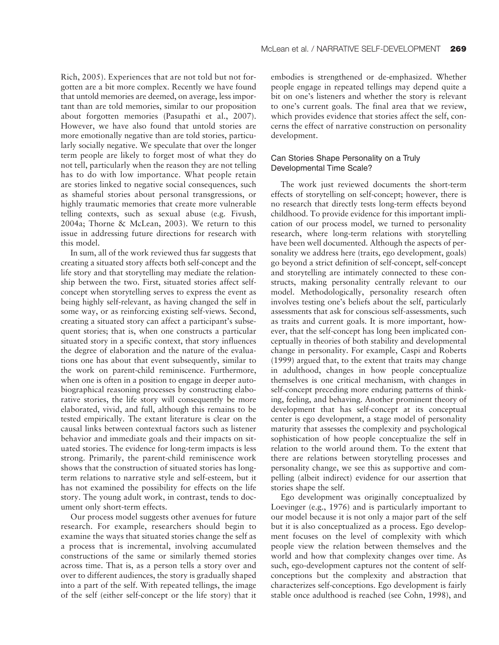Rich, 2005). Experiences that are not told but not forgotten are a bit more complex. Recently we have found that untold memories are deemed, on average, less important than are told memories, similar to our proposition about forgotten memories (Pasupathi et al., 2007). However, we have also found that untold stories are more emotionally negative than are told stories, particularly socially negative. We speculate that over the longer term people are likely to forget most of what they do not tell, particularly when the reason they are not telling has to do with low importance. What people retain are stories linked to negative social consequences, such as shameful stories about personal transgressions, or highly traumatic memories that create more vulnerable telling contexts, such as sexual abuse (e.g. Fivush, 2004a; Thorne & McLean, 2003). We return to this issue in addressing future directions for research with this model.

In sum, all of the work reviewed thus far suggests that creating a situated story affects both self-concept and the life story and that storytelling may mediate the relationship between the two. First, situated stories affect selfconcept when storytelling serves to express the event as being highly self-relevant, as having changed the self in some way, or as reinforcing existing self-views. Second, creating a situated story can affect a participant's subsequent stories; that is, when one constructs a particular situated story in a specific context, that story influences the degree of elaboration and the nature of the evaluations one has about that event subsequently, similar to the work on parent-child reminiscence. Furthermore, when one is often in a position to engage in deeper autobiographical reasoning processes by constructing elaborative stories, the life story will consequently be more elaborated, vivid, and full, although this remains to be tested empirically. The extant literature is clear on the causal links between contextual factors such as listener behavior and immediate goals and their impacts on situated stories. The evidence for long-term impacts is less strong. Primarily, the parent-child reminiscence work shows that the construction of situated stories has longterm relations to narrative style and self-esteem, but it has not examined the possibility for effects on the life story. The young adult work, in contrast, tends to document only short-term effects.

Our process model suggests other avenues for future research. For example, researchers should begin to examine the ways that situated stories change the self as a process that is incremental, involving accumulated constructions of the same or similarly themed stories across time. That is, as a person tells a story over and over to different audiences, the story is gradually shaped into a part of the self. With repeated tellings, the image of the self (either self-concept or the life story) that it embodies is strengthened or de-emphasized. Whether people engage in repeated tellings may depend quite a bit on one's listeners and whether the story is relevant to one's current goals. The final area that we review, which provides evidence that stories affect the self, concerns the effect of narrative construction on personality development.

## Can Stories Shape Personality on a Truly Developmental Time Scale?

The work just reviewed documents the short-term effects of storytelling on self-concept; however, there is no research that directly tests long-term effects beyond childhood. To provide evidence for this important implication of our process model, we turned to personality research, where long-term relations with storytelling have been well documented. Although the aspects of personality we address here (traits, ego development, goals) go beyond a strict definition of self-concept, self-concept and storytelling are intimately connected to these constructs, making personality centrally relevant to our model. Methodologically, personality research often involves testing one's beliefs about the self, particularly assessments that ask for conscious self-assessments, such as traits and current goals. It is more important, however, that the self-concept has long been implicated conceptually in theories of both stability and developmental change in personality. For example, Caspi and Roberts (1999) argued that, to the extent that traits may change in adulthood, changes in how people conceptualize themselves is one critical mechanism, with changes in self-concept preceding more enduring patterns of thinking, feeling, and behaving. Another prominent theory of development that has self-concept at its conceptual center is ego development, a stage model of personality maturity that assesses the complexity and psychological sophistication of how people conceptualize the self in relation to the world around them. To the extent that there are relations between storytelling processes and personality change, we see this as supportive and compelling (albeit indirect) evidence for our assertion that stories shape the self.

Ego development was originally conceptualized by Loevinger (e.g., 1976) and is particularly important to our model because it is not only a major part of the self but it is also conceptualized as a process. Ego development focuses on the level of complexity with which people view the relation between themselves and the world and how that complexity changes over time. As such, ego-development captures not the content of selfconceptions but the complexity and abstraction that characterizes self-conceptions. Ego development is fairly stable once adulthood is reached (see Cohn, 1998), and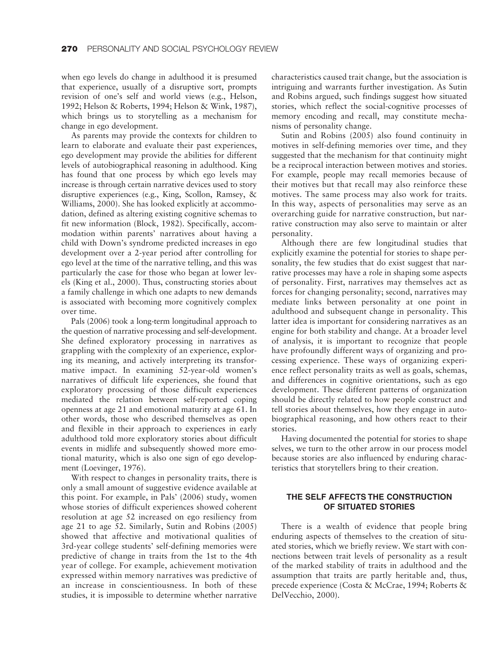when ego levels do change in adulthood it is presumed that experience, usually of a disruptive sort, prompts revision of one's self and world views (e.g., Helson, 1992; Helson & Roberts, 1994; Helson & Wink, 1987), which brings us to storytelling as a mechanism for change in ego development.

As parents may provide the contexts for children to learn to elaborate and evaluate their past experiences, ego development may provide the abilities for different levels of autobiographical reasoning in adulthood. King has found that one process by which ego levels may increase is through certain narrative devices used to story disruptive experiences (e.g., King, Scollon, Ramsey, & Williams, 2000). She has looked explicitly at accommodation, defined as altering existing cognitive schemas to fit new information (Block, 1982). Specifically, accommodation within parents' narratives about having a child with Down's syndrome predicted increases in ego development over a 2-year period after controlling for ego level at the time of the narrative telling, and this was particularly the case for those who began at lower levels (King et al., 2000). Thus, constructing stories about a family challenge in which one adapts to new demands is associated with becoming more cognitively complex over time.

Pals (2006) took a long-term longitudinal approach to the question of narrative processing and self-development. She defined exploratory processing in narratives as grappling with the complexity of an experience, exploring its meaning, and actively interpreting its transformative impact. In examining 52-year-old women's narratives of difficult life experiences, she found that exploratory processing of those difficult experiences mediated the relation between self-reported coping openness at age 21 and emotional maturity at age 61. In other words, those who described themselves as open and flexible in their approach to experiences in early adulthood told more exploratory stories about difficult events in midlife and subsequently showed more emotional maturity, which is also one sign of ego development (Loevinger, 1976).

With respect to changes in personality traits, there is only a small amount of suggestive evidence available at this point. For example, in Pals' (2006) study, women whose stories of difficult experiences showed coherent resolution at age 52 increased on ego resiliency from age 21 to age 52. Similarly, Sutin and Robins (2005) showed that affective and motivational qualities of 3rd-year college students' self-defining memories were predictive of change in traits from the 1st to the 4th year of college. For example, achievement motivation expressed within memory narratives was predictive of an increase in conscientiousness. In both of these studies, it is impossible to determine whether narrative

characteristics caused trait change, but the association is intriguing and warrants further investigation. As Sutin and Robins argued, such findings suggest how situated stories, which reflect the social-cognitive processes of memory encoding and recall, may constitute mechanisms of personality change.

Sutin and Robins (2005) also found continuity in motives in self-defining memories over time, and they suggested that the mechanism for that continuity might be a reciprocal interaction between motives and stories. For example, people may recall memories because of their motives but that recall may also reinforce these motives. The same process may also work for traits. In this way, aspects of personalities may serve as an overarching guide for narrative construction, but narrative construction may also serve to maintain or alter personality.

Although there are few longitudinal studies that explicitly examine the potential for stories to shape personality, the few studies that do exist suggest that narrative processes may have a role in shaping some aspects of personality. First, narratives may themselves act as forces for changing personality; second, narratives may mediate links between personality at one point in adulthood and subsequent change in personality. This latter idea is important for considering narratives as an engine for both stability and change. At a broader level of analysis, it is important to recognize that people have profoundly different ways of organizing and processing experience. These ways of organizing experience reflect personality traits as well as goals, schemas, and differences in cognitive orientations, such as ego development. These different patterns of organization should be directly related to how people construct and tell stories about themselves, how they engage in autobiographical reasoning, and how others react to their stories.

Having documented the potential for stories to shape selves, we turn to the other arrow in our process model because stories are also influenced by enduring characteristics that storytellers bring to their creation.

# **THE SELF AFFECTS THE CONSTRUCTION OF SITUATED STORIES**

There is a wealth of evidence that people bring enduring aspects of themselves to the creation of situated stories, which we briefly review. We start with connections between trait levels of personality as a result of the marked stability of traits in adulthood and the assumption that traits are partly heritable and, thus, precede experience (Costa & McCrae, 1994; Roberts & DelVecchio, 2000).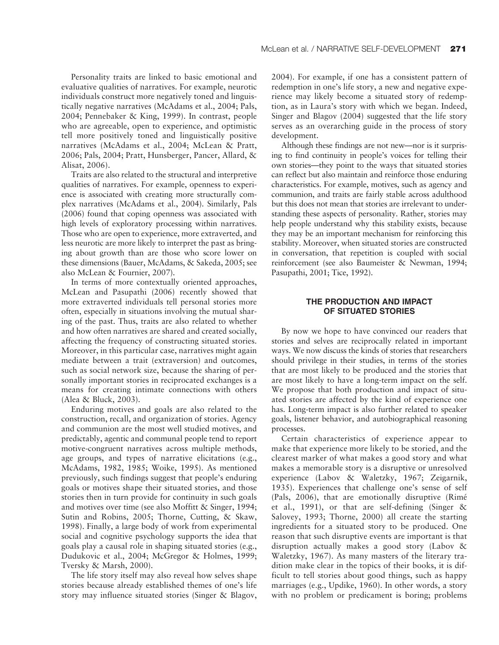Personality traits are linked to basic emotional and evaluative qualities of narratives. For example, neurotic individuals construct more negatively toned and linguistically negative narratives (McAdams et al., 2004; Pals, 2004; Pennebaker & King, 1999). In contrast, people who are agreeable, open to experience, and optimistic tell more positively toned and linguistically positive narratives (McAdams et al., 2004; McLean & Pratt, 2006; Pals, 2004; Pratt, Hunsberger, Pancer, Allard, & Alisat, 2006).

Traits are also related to the structural and interpretive qualities of narratives. For example, openness to experience is associated with creating more structurally complex narratives (McAdams et al., 2004). Similarly, Pals (2006) found that coping openness was associated with high levels of exploratory processing within narratives. Those who are open to experience, more extraverted, and less neurotic are more likely to interpret the past as bringing about growth than are those who score lower on these dimensions (Bauer, McAdams, & Sakeda, 2005; see also McLean & Fournier, 2007).

In terms of more contextually oriented approaches, McLean and Pasupathi (2006) recently showed that more extraverted individuals tell personal stories more often, especially in situations involving the mutual sharing of the past. Thus, traits are also related to whether and how often narratives are shared and created socially, affecting the frequency of constructing situated stories. Moreover, in this particular case, narratives might again mediate between a trait (extraversion) and outcomes, such as social network size, because the sharing of personally important stories in reciprocated exchanges is a means for creating intimate connections with others (Alea & Bluck, 2003).

Enduring motives and goals are also related to the construction, recall, and organization of stories. Agency and communion are the most well studied motives, and predictably, agentic and communal people tend to report motive-congruent narratives across multiple methods, age groups, and types of narrative elicitations (e.g., McAdams, 1982, 1985; Woike, 1995). As mentioned previously, such findings suggest that people's enduring goals or motives shape their situated stories, and those stories then in turn provide for continuity in such goals and motives over time (see also Moffitt & Singer, 1994; Sutin and Robins, 2005; Thorne, Cutting, & Skaw, 1998). Finally, a large body of work from experimental social and cognitive psychology supports the idea that goals play a causal role in shaping situated stories (e.g., Dudukovic et al., 2004; McGregor & Holmes, 1999; Tversky & Marsh, 2000).

The life story itself may also reveal how selves shape stories because already established themes of one's life story may influence situated stories (Singer & Blagov,

2004). For example, if one has a consistent pattern of redemption in one's life story, a new and negative experience may likely become a situated story of redemption, as in Laura's story with which we began. Indeed, Singer and Blagov (2004) suggested that the life story serves as an overarching guide in the process of story development.

Although these findings are not new—nor is it surprising to find continuity in people's voices for telling their own stories—they point to the ways that situated stories can reflect but also maintain and reinforce those enduring characteristics. For example, motives, such as agency and communion, and traits are fairly stable across adulthood but this does not mean that stories are irrelevant to understanding these aspects of personality. Rather, stories may help people understand why this stability exists, because they may be an important mechanism for reinforcing this stability. Moreover, when situated stories are constructed in conversation, that repetition is coupled with social reinforcement (see also Baumeister & Newman, 1994; Pasupathi, 2001; Tice, 1992).

## **THE PRODUCTION AND IMPACT OF SITUATED STORIES**

By now we hope to have convinced our readers that stories and selves are reciprocally related in important ways. We now discuss the kinds of stories that researchers should privilege in their studies, in terms of the stories that are most likely to be produced and the stories that are most likely to have a long-term impact on the self. We propose that both production and impact of situated stories are affected by the kind of experience one has. Long-term impact is also further related to speaker goals, listener behavior, and autobiographical reasoning processes.

Certain characteristics of experience appear to make that experience more likely to be storied, and the clearest marker of what makes a good story and what makes a memorable story is a disruptive or unresolved experience (Labov & Waletzky, 1967; Zeigarnik, 1935). Experiences that challenge one's sense of self (Pals, 2006), that are emotionally disruptive (Rimé et al., 1991), or that are self-defining (Singer & Salovey, 1993; Thorne, 2000) all create the starting ingredients for a situated story to be produced. One reason that such disruptive events are important is that disruption actually makes a good story (Labov & Waletzky, 1967). As many masters of the literary tradition make clear in the topics of their books, it is difficult to tell stories about good things, such as happy marriages (e.g., Updike, 1960). In other words, a story with no problem or predicament is boring; problems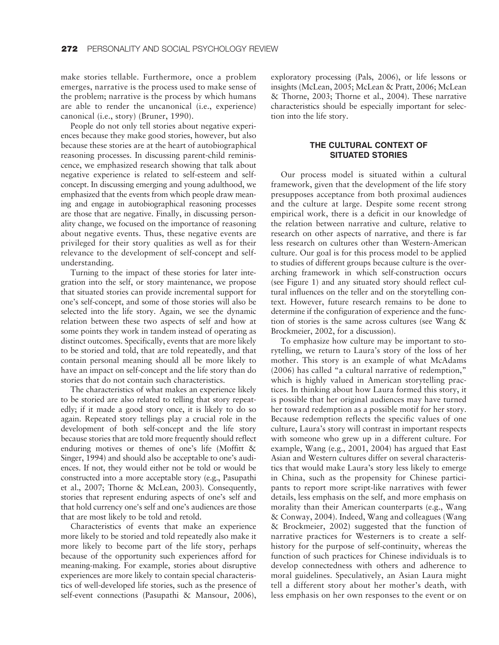make stories tellable. Furthermore, once a problem emerges, narrative is the process used to make sense of the problem; narrative is the process by which humans are able to render the uncanonical (i.e., experience) canonical (i.e., story) (Bruner, 1990).

People do not only tell stories about negative experiences because they make good stories, however, but also because these stories are at the heart of autobiographical reasoning processes. In discussing parent-child reminiscence, we emphasized research showing that talk about negative experience is related to self-esteem and selfconcept. In discussing emerging and young adulthood, we emphasized that the events from which people draw meaning and engage in autobiographical reasoning processes are those that are negative. Finally, in discussing personality change, we focused on the importance of reasoning about negative events. Thus, these negative events are privileged for their story qualities as well as for their relevance to the development of self-concept and selfunderstanding.

Turning to the impact of these stories for later integration into the self, or story maintenance, we propose that situated stories can provide incremental support for one's self-concept, and some of those stories will also be selected into the life story. Again, we see the dynamic relation between these two aspects of self and how at some points they work in tandem instead of operating as distinct outcomes. Specifically, events that are more likely to be storied and told, that are told repeatedly, and that contain personal meaning should all be more likely to have an impact on self-concept and the life story than do stories that do not contain such characteristics.

The characteristics of what makes an experience likely to be storied are also related to telling that story repeatedly; if it made a good story once, it is likely to do so again. Repeated story tellings play a crucial role in the development of both self-concept and the life story because stories that are told more frequently should reflect enduring motives or themes of one's life (Moffitt & Singer, 1994) and should also be acceptable to one's audiences. If not, they would either not be told or would be constructed into a more acceptable story (e.g., Pasupathi et al., 2007; Thorne & McLean, 2003). Consequently, stories that represent enduring aspects of one's self and that hold currency one's self and one's audiences are those that are most likely to be told and retold.

Characteristics of events that make an experience more likely to be storied and told repeatedly also make it more likely to become part of the life story, perhaps because of the opportunity such experiences afford for meaning-making. For example, stories about disruptive experiences are more likely to contain special characteristics of well-developed life stories, such as the presence of self-event connections (Pasupathi & Mansour, 2006), exploratory processing (Pals, 2006), or life lessons or insights (McLean, 2005; McLean & Pratt, 2006; McLean & Thorne, 2003; Thorne et al., 2004). These narrative characteristics should be especially important for selection into the life story.

## **THE CULTURAL CONTEXT OF SITUATED STORIES**

Our process model is situated within a cultural framework, given that the development of the life story presupposes acceptance from both proximal audiences and the culture at large. Despite some recent strong empirical work, there is a deficit in our knowledge of the relation between narrative and culture, relative to research on other aspects of narrative, and there is far less research on cultures other than Western-American culture. Our goal is for this process model to be applied to studies of different groups because culture is the overarching framework in which self-construction occurs (see Figure 1) and any situated story should reflect cultural influences on the teller and on the storytelling context. However, future research remains to be done to determine if the configuration of experience and the function of stories is the same across cultures (see Wang & Brockmeier, 2002, for a discussion).

To emphasize how culture may be important to storytelling, we return to Laura's story of the loss of her mother. This story is an example of what McAdams (2006) has called "a cultural narrative of redemption," which is highly valued in American storytelling practices. In thinking about how Laura formed this story, it is possible that her original audiences may have turned her toward redemption as a possible motif for her story. Because redemption reflects the specific values of one culture, Laura's story will contrast in important respects with someone who grew up in a different culture. For example, Wang (e.g., 2001, 2004) has argued that East Asian and Western cultures differ on several characteristics that would make Laura's story less likely to emerge in China, such as the propensity for Chinese participants to report more script-like narratives with fewer details, less emphasis on the self, and more emphasis on morality than their American counterparts (e.g., Wang & Conway, 2004). Indeed, Wang and colleagues (Wang & Brockmeier, 2002) suggested that the function of narrative practices for Westerners is to create a selfhistory for the purpose of self-continuity, whereas the function of such practices for Chinese individuals is to develop connectedness with others and adherence to moral guidelines. Speculatively, an Asian Laura might tell a different story about her mother's death, with less emphasis on her own responses to the event or on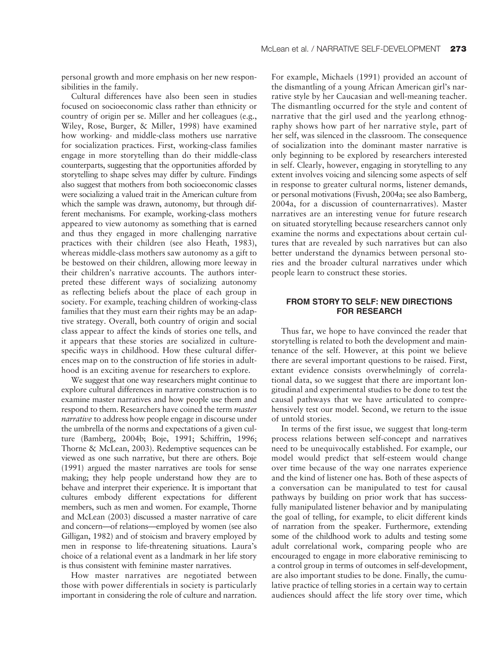personal growth and more emphasis on her new responsibilities in the family.

Cultural differences have also been seen in studies focused on socioeconomic class rather than ethnicity or country of origin per se. Miller and her colleagues (e.g., Wiley, Rose, Burger, & Miller, 1998) have examined how working- and middle-class mothers use narrative for socialization practices. First, working-class families engage in more storytelling than do their middle-class counterparts, suggesting that the opportunities afforded by storytelling to shape selves may differ by culture. Findings also suggest that mothers from both socioeconomic classes were socializing a valued trait in the American culture from which the sample was drawn, autonomy, but through different mechanisms. For example, working-class mothers appeared to view autonomy as something that is earned and thus they engaged in more challenging narrative practices with their children (see also Heath, 1983), whereas middle-class mothers saw autonomy as a gift to be bestowed on their children, allowing more leeway in their children's narrative accounts. The authors interpreted these different ways of socializing autonomy as reflecting beliefs about the place of each group in society. For example, teaching children of working-class families that they must earn their rights may be an adaptive strategy. Overall, both country of origin and social class appear to affect the kinds of stories one tells, and it appears that these stories are socialized in culturespecific ways in childhood. How these cultural differences map on to the construction of life stories in adulthood is an exciting avenue for researchers to explore.

We suggest that one way researchers might continue to explore cultural differences in narrative construction is to examine master narratives and how people use them and respond to them. Researchers have coined the term *master narrative* to address how people engage in discourse under the umbrella of the norms and expectations of a given culture (Bamberg, 2004b; Boje, 1991; Schiffrin, 1996; Thorne & McLean, 2003). Redemptive sequences can be viewed as one such narrative, but there are others. Boje (1991) argued the master narratives are tools for sense making; they help people understand how they are to behave and interpret their experience. It is important that cultures embody different expectations for different members, such as men and women. For example, Thorne and McLean (2003) discussed a master narrative of care and concern—of relations—employed by women (see also Gilligan, 1982) and of stoicism and bravery employed by men in response to life-threatening situations. Laura's choice of a relational event as a landmark in her life story is thus consistent with feminine master narratives.

How master narratives are negotiated between those with power differentials in society is particularly important in considering the role of culture and narration.

For example, Michaels (1991) provided an account of the dismantling of a young African American girl's narrative style by her Caucasian and well-meaning teacher. The dismantling occurred for the style and content of narrative that the girl used and the yearlong ethnography shows how part of her narrative style, part of her self, was silenced in the classroom. The consequence of socialization into the dominant master narrative is only beginning to be explored by researchers interested in self. Clearly, however, engaging in storytelling to any extent involves voicing and silencing some aspects of self in response to greater cultural norms, listener demands, or personal motivations (Fivush, 2004a; see also Bamberg, 2004a, for a discussion of counternarratives). Master narratives are an interesting venue for future research on situated storytelling because researchers cannot only examine the norms and expectations about certain cultures that are revealed by such narratives but can also better understand the dynamics between personal stories and the broader cultural narratives under which people learn to construct these stories.

# **FROM STORY TO SELF: NEW DIRECTIONS FOR RESEARCH**

Thus far, we hope to have convinced the reader that storytelling is related to both the development and maintenance of the self. However, at this point we believe there are several important questions to be raised. First, extant evidence consists overwhelmingly of correlational data, so we suggest that there are important longitudinal and experimental studies to be done to test the causal pathways that we have articulated to comprehensively test our model. Second, we return to the issue of untold stories.

In terms of the first issue, we suggest that long-term process relations between self-concept and narratives need to be unequivocally established. For example, our model would predict that self-esteem would change over time because of the way one narrates experience and the kind of listener one has. Both of these aspects of a conversation can be manipulated to test for causal pathways by building on prior work that has successfully manipulated listener behavior and by manipulating the goal of telling, for example, to elicit different kinds of narration from the speaker. Furthermore, extending some of the childhood work to adults and testing some adult correlational work, comparing people who are encouraged to engage in more elaborative reminiscing to a control group in terms of outcomes in self-development, are also important studies to be done. Finally, the cumulative practice of telling stories in a certain way to certain audiences should affect the life story over time, which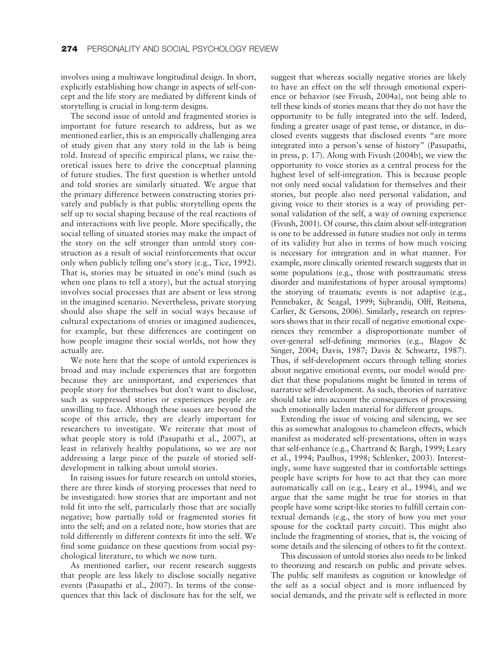involves using a multiwave longitudinal design. In short, explicitly establishing how change in aspects of self-concept and the life story are mediated by different kinds of storytelling is crucial in long-term designs.

The second issue of untold and fragmented stories is important for future research to address, but as we mentioned earlier, this is an empirically challenging area of study given that any story told in the lab is being told. Instead of specific empirical plans, we raise theoretical issues here to drive the conceptual planning of future studies. The first question is whether untold and told stories are similarly situated. We argue that the primary difference between constructing stories privately and publicly is that public storytelling opens the self up to social shaping because of the real reactions of and interactions with live people. More specifically, the social telling of situated stories may make the impact of the story on the self stronger than untold story construction as a result of social reinforcements that occur only when publicly telling one's story (e.g., Tice, 1992). That is, stories may be situated in one's mind (such as when one plans to tell a story), but the actual storying involves social processes that are absent or less strong in the imagined scenario. Nevertheless, private storying should also shape the self in social ways because of cultural expectations of stories or imagined audiences, for example, but these differences are contingent on how people imagine their social worlds, not how they actually are.

We note here that the scope of untold experiences is broad and may include experiences that are forgotten because they are unimportant, and experiences that people story for themselves but don't want to disclose, such as suppressed stories or experiences people are unwilling to face. Although these issues are beyond the scope of this article, they are clearly important for researchers to investigate. We reiterate that most of what people story is told (Pasupathi et al., 2007), at least in relatively healthy populations, so we are not addressing a large piece of the puzzle of storied selfdevelopment in talking about untold stories.

In raising issues for future research on untold stories, there are three kinds of storying processes that need to be investigated: how stories that are important and not told fit into the self, particularly those that are socially negative; how partially told or fragmented stories fit into the self; and on a related note, how stories that are told differently in different contexts fit into the self. We find some guidance on these questions from social psychological literature, to which we now turn.

As mentioned earlier, our recent research suggests that people are less likely to disclose socially negative events (Pasupathi et al., 2007). In terms of the consequences that this lack of disclosure has for the self, we suggest that whereas socially negative stories are likely to have an effect on the self through emotional experience or behavior (see Fivush, 2004a), not being able to tell these kinds of stories means that they do not have the opportunity to be fully integrated into the self. Indeed, finding a greater usage of past tense, or distance, in disclosed events suggests that disclosed events "are more integrated into a person's sense of history" (Pasupathi, in press, p. 17). Along with Fivush (2004b), we view the opportunity to voice stories as a central process for the highest level of self-integration. This is because people not only need social validation for themselves and their stories, but people also need personal validation, and giving voice to their stories is a way of providing personal validation of the self, a way of owning experience (Fivush, 2001). Of course, this claim about self-integration is one to be addressed in future studies not only in terms of its validity but also in terms of how much voicing is necessary for integration and in what manner. For example, more clinically oriented research suggests that in some populations (e.g., those with posttraumatic stress disorder and manifestations of hyper arousal symptoms) the storying of traumatic events is not adaptive (e.g., Pennebaker, & Seagal, 1999; Sijbrandij, Olff, Reitsma, Carlier, & Gersons, 2006). Similarly, research on repressors shows that in their recall of negative emotional experiences they remember a disproportionate number of over-general self-defining memories (e.g., Blagov & Singer, 2004; Davis, 1987; Davis & Schwartz, 1987). Thus, if self-development occurs through telling stories about negative emotional events, our model would predict that these populations might be limited in terms of narrative self-development. As such, theories of narrative should take into account the consequences of processing such emotionally laden material for different groups.

Extending the issue of voicing and silencing, we see this as somewhat analogous to chameleon effects, which manifest as moderated self-presentations, often in ways that self-enhance (e.g., Chartrand & Bargh, 1999; Leary et al., 1994; Paulhus, 1998; Schlenker, 2003). Interestingly, some have suggested that in comfortable settings people have scripts for how to act that they can more automatically call on (e.g., Leary et al., 1994), and we argue that the same might be true for stories in that people have some script-like stories to fulfill certain contextual demands (e.g., the story of how you met your spouse for the cocktail party circuit). This might also include the fragmenting of stories, that is, the voicing of some details and the silencing of others to fit the context.

This discussion of untold stories also needs to be linked to theorizing and research on public and private selves. The public self manifests as cognition or knowledge of the self as a social object and is more influenced by social demands, and the private self is reflected in more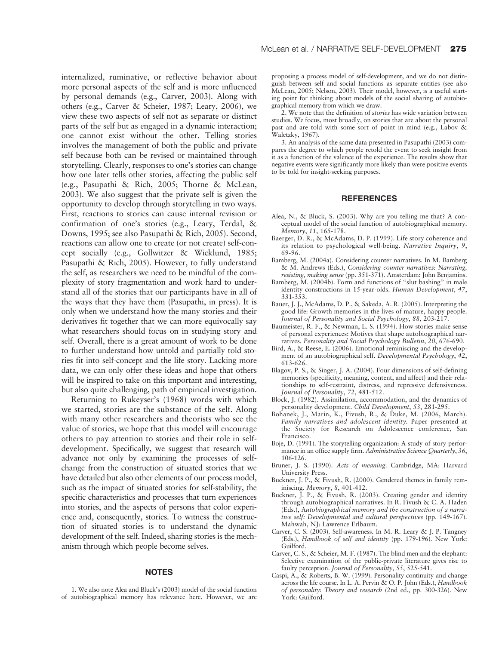internalized, ruminative, or reflective behavior about more personal aspects of the self and is more influenced by personal demands (e.g., Carver, 2003). Along with others (e.g., Carver & Scheier, 1987; Leary, 2006), we view these two aspects of self not as separate or distinct parts of the self but as engaged in a dynamic interaction; one cannot exist without the other. Telling stories involves the management of both the public and private self because both can be revised or maintained through storytelling. Clearly, responses to one's stories can change how one later tells other stories, affecting the public self (e.g., Pasupathi & Rich, 2005; Thorne & McLean, 2003). We also suggest that the private self is given the opportunity to develop through storytelling in two ways. First, reactions to stories can cause internal revision or confirmation of one's stories (e.g., Leary, Terdal, & Downs, 1995; see also Pasupathi & Rich, 2005). Second, reactions can allow one to create (or not create) self-concept socially (e.g., Gollwitzer & Wicklund, 1985; Pasupathi & Rich, 2005). However, to fully understand the self, as researchers we need to be mindful of the complexity of story fragmentation and work hard to understand all of the stories that our participants have in all of the ways that they have them (Pasupathi, in press). It is only when we understand how the many stories and their derivatives fit together that we can more equivocally say what researchers should focus on in studying story and self. Overall, there is a great amount of work to be done to further understand how untold and partially told stories fit into self-concept and the life story. Lacking more data, we can only offer these ideas and hope that others will be inspired to take on this important and interesting, but also quite challenging, path of empirical investigation.

Returning to Rukeyser's (1968) words with which we started, stories are the substance of the self. Along with many other researchers and theorists who see the value of stories, we hope that this model will encourage others to pay attention to stories and their role in selfdevelopment. Specifically, we suggest that research will advance not only by examining the processes of selfchange from the construction of situated stories that we have detailed but also other elements of our process model, such as the impact of situated stories for self-stability, the specific characteristics and processes that turn experiences into stories, and the aspects of persons that color experience and, consequently, stories. To witness the construction of situated stories is to understand the dynamic development of the self. Indeed, sharing stories is the mechanism through which people become selves.

#### **NOTES**

1. We also note Alea and Bluck's (2003) model of the social function of autobiographical memory has relevance here. However, we are

proposing a process model of self-development, and we do not distinguish between self and social functions as separate entities (see also McLean, 2005; Nelson, 2003). Their model, however, is a useful starting point for thinking about models of the social sharing of autobiographical memory from which we draw.

2. We note that the definition of *stories* has wide variation between studies. We focus, most broadly, on stories that are about the personal past and are told with some sort of point in mind (e.g., Labov & Waletzky, 1967).

3. An analysis of the same data presented in Pasupathi (2003) compares the degree to which people retold the event to seek insight from it as a function of the valence of the experience. The results show that negative events were significantly more likely than were positive events to be told for insight-seeking purposes*.*

#### **REFERENCES**

- Alea, N., & Bluck, S. (2003). Why are you telling me that? A conceptual model of the social function of autobiographical memory. *Memory*, *11*, 165-178.
- Baerger, D. R., & McAdams, D. P. (1999). Life story coherence and its relation to psychological well-being. *Narrative Inquiry*, *9*, 69-96.
- Bamberg, M. (2004a). Considering counter narratives. In M. Bamberg & M. Andrews (Eds.), *Considering counter narratives: Narrating, resisting, making sense* (pp. 351-371). Amsterdam: John Benjamins.
- Bamberg, M. (2004b). Form and functions of "slut bashing" in male identity constructions in 15-year-olds. *Human Development*, *47*, 331-353.
- Bauer, J. J., McAdams, D. P., & Sakeda, A. R. (2005). Interpreting the good life: Growth memories in the lives of mature, happy people. *Journal of Personality and Social Psychology*, *88*, 203-217.
- Baumeister, R. F., & Newman, L. S. (1994). How stories make sense of personal experiences: Motives that shape autobiographical narratives. *Personality and Social Psychology Bulletin*, *20*, 676-690.
- Bird, A., & Reese, E. (2006). Emotional reminiscing and the development of an autobiographical self. *Developmental Psychology*, *42*, 613-626.
- Blagov, P. S., & Singer, J. A. (2004). Four dimensions of self-defining memories (specificity, meaning, content, and affect) and their relationships to self-restraint, distress, and repressive defensiveness. *Journal of Personality*, *72*, 481-512.
- Block, J. (1982). Assimilation, accommodation, and the dynamics of personality development. *Child Development*, *53*, 281-295.
- Bohanek, J., Marin, K., Fivush, R., & Duke, M. (2006, March). *Family narratives and adolescent identity.* Paper presented at the Society for Research on Adolescence conference, San Francisco.
- Boje, D. (1991). The storytelling organization: A study of story performance in an office supply firm. *Administrative Science Quarterly*, *36*, 106-126.
- Bruner, J. S. (1990). *Acts of meaning*. Cambridge, MA: Harvard University Press.
- Buckner, J. P., & Fivush, R. (2000). Gendered themes in family reminiscing. *Memory*, *8*, 401-412.
- Buckner, J. P., & Fivush, R. (2003). Creating gender and identity through autobiographical narratives. In R. Fivush & C. A. Haden (Eds.), A*utobiographical memory and the construction of a narrative self: Developmental and cultural perspectives* (pp. 149-167). Mahwah, NJ: Lawrence Erlbaum.
- Carver, C. S. (2003). Self-awareness. In M. R. Leary & J. P. Tangney (Eds.), *Handbook of self and identity* (pp. 179-196). New York: Guilford.
- Carver, C. S., & Scheier, M. F. (1987). The blind men and the elephant: Selective examination of the public-private literature gives rise to faulty perception. *Journal of Personality*, *55*, 525-541.
- Caspi, A., & Roberts, B. W. (1999). Personality continuity and change across the life course. In L. A. Pervin & O. P. John (Eds.), *Handbook of personality: Theory and research* (2nd ed., pp. 300-326). New York: Guilford.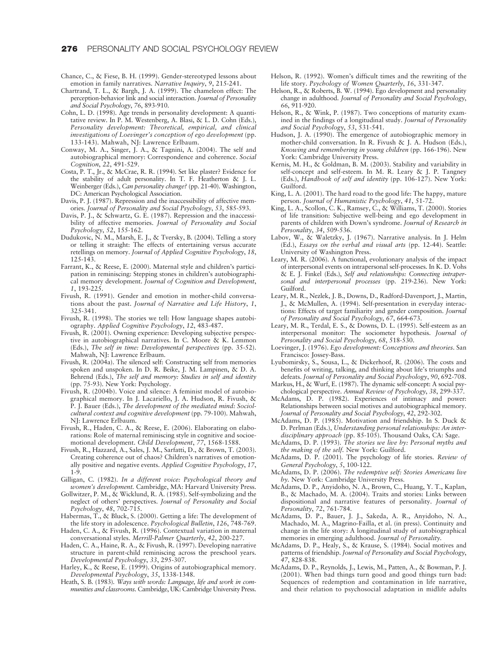- Chance, C., & Fiese, B. H. (1999). Gender-stereotyped lessons about emotion in family narratives. *Narrative Inquiry*, *9*, 215-241.
- Chartrand, T. L., & Bargh, J. A. (1999). The chameleon effect: The perception-behavior link and social interaction. *Journal of Personality and Social Psychology*, *76*, 893-910.
- Cohn, L. D. (1998). Age trends in personality development: A quantitative review. In P. M. Westenberg, A. Blasi, & L. D. Cohn (Eds.), *Personality development: Theoretical, empirical, and clinical investigations of Loevinger's conception of ego development* (pp. 133-143). Mahwah, NJ: Lawrence Erlbaum.
- Conway, M. A., Singer, J. A., & Tagnini, A. (2004). The self and autobiographical memory: Correspondence and coherence. *Social Cognition*, *22*, 491-529.
- Costa, P. T., Jr., & McCrae, R. R. (1994). Set like plaster? Evidence for the stability of adult personality. In T. F. Heatherton & J. L. Weinberger (Eds.), *Can personality change?* (pp. 21-40). Washington, DC: American Psychological Association.
- Davis, P. J. (1987). Repression and the inaccessibility of affective memories. *Journal of Personality and Social Psychology*, *53*, 585-593.
- Davis, P. J., & Schwartz, G. E. (1987). Repression and the inaccessibility of affective memories. *Journal of Personality and Social Psychology*, *52*, 155-162.
- Dudukovic, N. M., Marsh, E. J., & Tversky, B. (2004). Telling a story or telling it straight: The effects of entertaining versus accurate retellings on memory. *Journal of Applied Cognitive Psychology*, *18*, 125-143.
- Farrant, K., & Reese, E. (2000). Maternal style and children's participation in reminiscing: Stepping stones in children's autobiographical memory development. *Journal of Cognition and Development*, *1*, 193-225.
- Fivush, R. (1991). Gender and emotion in mother-child conversations about the past. *Journal of Narrative and Life History*, *1*, 325-341.
- Fivush, R. (1998). The stories we tell: How language shapes autobiography. *Applied Cognitive Psychology*, *12*, 483-487.
- Fivush, R. (2001). Owning experience: Developing subjective perspective in autobiographical narratives. In C. Moore & K. Lemmon (Eds.), *The self in time: Developmental perspectives* (pp. 35-52). Mahwah, NJ: Lawrence Erlbaum.
- Fivush, R. (2004a). The silenced self: Constructing self from memories spoken and unspoken. In D. R. Beike, J. M. Lampinen, & D. A. Behrend (Eds.), *The self and memory: Studies in self and identity* (pp. 75-93). New York: Psychology.
- Fivush, R. (2004b). Voice and silence: A feminist model of autobiographical memory. In J. Lacariello, J. A. Hudson, R. Fivush, & P. J. Bauer (Eds.), *The development of the mediated mind: Sociolcultural context and cognitive development* (pp. 79-100). Mahwah, NJ: Lawrence Erlbaum.
- Fivush, R., Haden, C. A., & Reese, E. (2006). Elaborating on elaborations: Role of maternal reminiscing style in cognitive and socioemotional development. *Child Development*, *77*, 1568-1588.
- Fivush, R., Hazzard, A., Sales, J. M., Sarfatti, D., & Brown, T. (2003). Creating coherence out of chaos? Children's narratives of emotionally positive and negative events. *Applied Cognitive Psychology*, *17*, 1-9.
- Gilligan, C. (1982). *In a different voice: Psychological theory and women's development.* Cambridge, MA: Harvard University Press.
- Gollwitzer, P. M., & Wicklund, R. A. (1985). Self-symbolizing and the neglect of others' perspectives. *Journal of Personality and Social Psychology*, *48*, 702-715.
- Habermas, T., & Bluck, S. (2000). Getting a life: The development of the life story in adolescence. *Psychological Bulletin*, *126*, 748-769.
- Haden, C. A., & Fivush, R. (1996). Contextual variation in maternal conversational styles. *Merrill-Palmer Quarterly*, *42*, 200-227.
- Haden, C. A., Haine, R. A., & Fivush, R. (1997). Developing narrative structure in parent-child reminiscing across the preschool years. *Developmental Psychology*, *33*, 295-307.
- Harley, K., & Reese, E. (1999). Origins of autobiographical memory. *Developmental Psychology*, *35*, 1338-1348.
- Heath, S. B. (1983). *Ways with words: Language, life and work in communities and classrooms.* Cambridge, UK: Cambridge University Press.
- Helson, R. (1992). Women's difficult times and the rewriting of the life story. *Psychology of Women Quarterly*, *16*, 331-347.
- Helson, R., & Roberts, B. W. (1994). Ego development and personality change in adulthood. *Journal of Personality and Social Psychology*, *66*, 911-920.
- Helson, R., & Wink, P. (1987). Two conceptions of maturity examined in the findings of a longitudinal study. *Journal of Personality and Social Psychology*, *53*, 531-541.
- Hudson, J. A. (1990). The emergence of autobiographic memory in mother-child conversation. In R. Fivush & J. A. Hudson (Eds.), *Knowing and remembering in young children* (pp. 166-196). New York: Cambridge University Press.
- Kernis, M. H., & Goldman, B. M. (2003). Stability and variability in self-concept and self-esteem. In M. R. Leary & J. P. Tangney (Eds.), *Handbook of self and identity* (pp. 106-127). New York: Guilford.
- King, L. A. (2001). The hard road to the good life: The happy, mature person. *Journal of Humanistic Psychology*, *41*, 51-72.
- King, L. A., Scollon, C. K., Ramsey, C., & Williams, T. (2000). Stories of life transition: Subjective well-being and ego development in parents of children with Down's syndrome. *Journal of Research in Personality*, *34*, 509-536.
- Labov, W., & Waletzky, J. (1967). Narrative analysis. In J. Helm (Ed.), *Essays on the verbal and visual arts* (pp. 12-44). Seattle: University of Washington Press.
- Leary, M. R. (2006). A functional, evolutionary analysis of the impact of interpersonal events on intrapersonal self-processes. In K. D. Vohs & E. J. Finkel (Eds.), *Self and relationships: Connecting intrapersonal and interpersonal processes* (pp. 219-236). New York: Guilford.
- Leary, M. R., Nezlek, J. B., Downs, D., Radford-Davenport, J., Martin, J., & McMullen, A. (1994). Self-presentation in everyday interactions: Effects of target familiarity and gender composition. *Journal of Personality and Social Psychology*, *67*, 664-673.
- Leary, M. R., Terdal, E. S., & Downs, D. L. (1995). Self-esteem as an interpersonal monitor: The sociometer hypothesis. *Journal of Personality and Social Psychology*, *68*, 518-530.
- Loevinger, J. (1976). *Ego development: Conceptions and theories.* San Francisco: Jossey-Bass.
- Lyubomirsky, S., Sousa, L., & Dickerhoof, R. (2006). The costs and benefits of writing, talking, and thinking about life's triumphs and defeats. *Journal of Personality and Social Psychology*, *90*, 692-708.
- Markus, H., & Wurf, E. (1987). The dynamic self-concept: A social psychological perspective. *Annual Review of Psychology*, *38*, 299-337.
- McAdams, D. P. (1982). Experiences of intimacy and power: Relationships between social motives and autobiographical memory. *Journal of Personality and Social Psychology*, *42*, 292-302.
- McAdams, D. P. (1985). Motivation and friendship. In S. Duck & D. Perlman (Eds.), *Understanding personal relationships: An interdisciplinary approach* (pp. 85-105). Thousand Oaks, CA: Sage.
- McAdams, D. P. (1993). *The stories we live by: Personal myths and the making of the self.* New York: Guilford.
- McAdams, D. P. (2001). The psychology of life stories. *Review of General Psychology*, *5*, 100-122.
- McAdams, D. P. (2006). *The redemptive self: Stories Americans live by.* New York: Cambridge University Press.
- McAdams, D. P., Anyidoho, N. A., Brown, C., Huang, Y. T., Kaplan, B., & Machado, M. A. (2004). Traits and stories: Links between dispositional and narrative features of personality. *Journal of Personality*, *72*, 761-784.
- McAdams, D. P., Bauer, J. J., Sakeda, A. R., Anyidoho, N. A., Machado, M. A., Magrino-Failla, et al. (in press). Continuity and change in the life story: A longitudinal study of autobiographical memories in emerging adulthood. *Journal of Personality.*
- McAdams, D. P., Healy, S., & Krause, S. (1984). Social motives and patterns of friendship. *Journal of Personality and Social Psychology*, *47*, 828-838.
- McAdams, D. P., Reynolds, J., Lewis, M., Patten, A., & Bowman, P. J. (2001). When bad things turn good and good things turn bad: Sequences of redemption and contamination in life narrative, and their relation to psychosocial adaptation in midlife adults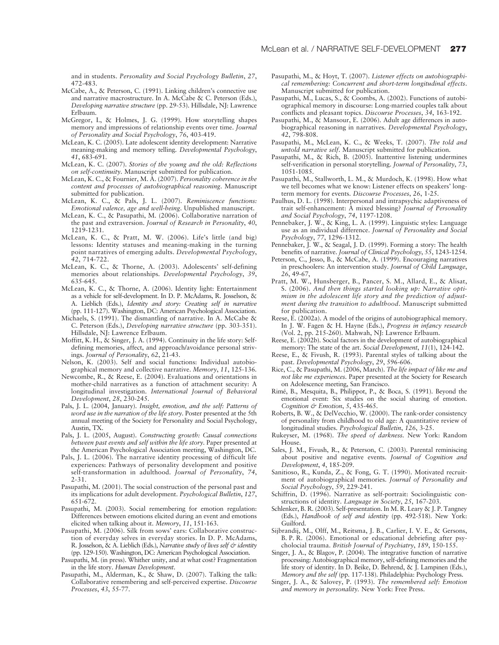and in students. *Personality and Social Psychology Bulletin*, *27*, 472-483.

- McCabe, A., & Peterson, C. (1991). Linking children's connective use and narrative macrostructure. In A. McCabe & C. Peterson (Eds.), *Developing narrative structure* (pp. 29-53). Hillsdale, NJ: Lawrence Erlbaum.
- McGregor, I., & Holmes, J. G. (1999). How storytelling shapes memory and impressions of relationship events over time. *Journal of Personality and Social Psychology*, *76*, 403-419.
- McLean, K. C. (2005). Late adolescent identity development: Narrative meaning-making and memory telling. *Developmental Psychology*, *41*, 683-691.
- McLean, K. C. (2007). *Stories of the young and the old: Reflections on self-continuity*. Manuscript submitted for publication.
- McLean, K. C., & Fournier, M. A. (2007). *Personality coherence in the content and processes of autobiographical reasoning*. Manuscript submitted for publication.
- McLean, K. C., & Pals, J. L. (2007). *Reminiscence functions: Emotional valence, age and well-being*. Unpublished manuscript.
- McLean, K. C., & Pasupathi, M. (2006). Collaborative narration of the past and extraversion. *Journal of Research in Personality*, *40*, 1219-1231*.*
- McLean, K. C., & Pratt, M. W. (2006). Life's little (and big) lessons: Identity statuses and meaning-making in the turning point narratives of emerging adults. *Developmental Psychology*, *42*, 714-722.
- McLean, K. C., & Thorne, A. (2003). Adolescents' self-defining memories about relationships*. Developmental Psychology*, *39*, 635-645*.*
- McLean, K. C., & Thorne, A. (2006). Identity light: Entertainment as a vehicle for self-development. In D. P. McAdams, R. Josselson, & A. Lieblich (Eds.), *Identity and story: Creating self in narrative* (pp. 111-127). Washington, DC: American Psychological Association.
- Michaels, S. (1991). The dismantling of narrative. In A. McCabe & C. Peterson (Eds.), *Developing narrative structure* (pp. 303-351). Hillsdale, NJ: Lawrence Erlbaum.
- Moffitt, K. H., & Singer, J. A. (1994). Continuity in the life story: Selfdefining memories, affect, and approach/avoidance personal strivings. *Journal of Personality*, *62*, 21-43.
- Nelson, K. (2003). Self and social functions: Individual autobiographical memory and collective narrative. *Memory*, *11*, 125-136*.*
- Newcombe, R., & Reese, E. (2004). Evaluations and orientations in mother-child narratives as a function of attachment security: A longitudinal investigation. *International Journal of Behavioral Development*, *28*, 230-245.
- Pals, J. L. (2004, January). *Insight, emotion, and the self: Patterns of word use in the narration of the life story.* Poster presented at the 5th annual meeting of the Society for Personality and Social Psychology, Austin, TX.
- Pals, J. L. (2005, August). *Constructing growth: Causal connections between past events and self within the life story.* Paper presented at the American Psychological Association meeting, Washington, DC.
- Pals, J. L. (2006). The narrative identity processing of difficult life experiences: Pathways of personality development and positive self-transformation in adulthood. *Journal of Personality*, *74*, 2-31*.*
- Pasupathi, M. (2001). The social construction of the personal past and its implications for adult development. *Psychological Bulletin*, *127*, 651-672.
- Pasupathi, M. (2003). Social remembering for emotion regulation: Differences between emotions elicited during an event and emotions elicited when talking about it. *Memory*, *11*, 151-163.
- Pasupathi, M. (2006). Silk from sows' ears: Collaborative construction of everyday selves in everyday stories. In D. P. McAdams, R. Josselson, & A. Lieblich (Eds.), *Narrative study of lives self & identity* (pp. 129-150). Washington, DC: American Psychological Association.
- Pasupathi, M. (in press). Whither unity, and at what cost? Fragmentation in the life story. *Human Development*.
- Pasupathi, M., Alderman, K., & Shaw, D. (2007). Talking the talk: Collaborative remembering and self-perceived expertise. *Discourse Processes*, *43*, 55-77.
- Pasupathi, M., & Hoyt, T. (2007). *Listener effects on autobiographical remembering: Concurrent and short-term longitudinal effects*. Manuscript submitted for publication.
- Pasupathi, M., Lucas, S., & Coombs, A. (2002). Functions of autobiographical memory in discourse: Long-married couples talk about conflicts and pleasant topics. *Discourse Processes*, *34*, 163-192.
- Pasupathi, M., & Mansour, E. (2006). Adult age differences in autobiographical reasoning in narratives. *Developmental Psychology*, *42*, 798-808.
- Pasupathi, M., McLean, K. C., & Weeks, T. (2007). *The told and untold narrative self*. Manuscript submitted for publication.
- Pasupathi, M., & Rich, B. (2005). Inattentive listening undermines self-verification in personal storytelling. *Journal of Personality*, *73*, 1051-1085.
- Pasupathi, M., Stallworth, L. M., & Murdoch, K. (1998). How what we tell becomes what we know: Listener effects on speakers' longterm memory for events. *Discourse Processes*, *26*, 1-25.
- Paulhus, D. L. (1998). Interpersonal and intrapsychic adaptiveness of trait self-enhancement: A mixed blessing? *Journal of Personality and Social Psychology*, *74*, 1197-1208.
- Pennebaker, J. W., & King, L. A. (1999). Linguistic styles: Language use as an individual difference. *Journal of Personality and Social Psychology*, *77*, 1296-1312.
- Pennebaker, J. W., & Seagal, J. D. (1999). Forming a story: The health benefits of narrative. *Journal of Clinical Psychology*, *55*, 1243-1254.
- Peterson, C., Jesso, B., & McCabe, A. (1999). Encouraging narratives in preschoolers: An intervention study. *Journal of Child Language*, *26*, 49-67,
- Pratt, M. W., Hunsberger, B., Pancer, S. M., Allard, E., & Alisat, S. (2006). *And then things started looking up: Narrative optimism in the adolescent life story and the prediction of adjustment during the transition to adulthood*. Manuscript submitted for publication.
- Reese, E. (2002a). A model of the origins of autobiographical memory. In J. W. Fagen & H. Hayne (Eds.), *Progress in infancy research* (Vol. 2, pp. 215-260). Mahwah, NJ: Lawrence Erlbaum.
- Reese, E. (2002b). Social factors in the development of autobiographical memory: The state of the art. *Social Development*, *11*(1), 124-142.
- Reese, E., & Fivush, R. (1993). Parental styles of talking about the past. *Developmental Psychology*, *29*, 596-606.
- Rice, C., & Pasupathi, M. (2006, March). *The life impact of like me and not like me experiences.* Paper presented at the Society for Research on Adolescence meeting, San Francisco.
- Rimé, B., Mesquita, B., Philippot, P., & Boca, S. (1991). Beyond the emotional event: Six studies on the social sharing of emotion. *Cognition & Emotion*, *5*, 435-465.
- Roberts, B. W., & DelVecchio, W. (2000). The rank-order consistency of personality from childhood to old age: A quantitative review of longitudinal studies. *Psychological Bulletin*, *126*, 3-25.
- Rukeyser, M. (1968). *The speed of darkness.* New York: Random House.
- Sales, J. M., Fivush, R., & Peterson, C. (2003). Parental reminiscing about positive and negative events. *Journal of Cognition and Development*, *4*, 185-209.
- Sanitioso, R., Kunda, Z., & Fong, G. T. (1990). Motivated recruitment of autobiographical memories. *Journal of Personality and Social Psychology*, *59*, 229-241.
- Schiffrin, D. (1996). Narrative as self-portrait: Sociolinguistic constructions of identity. *Language in Society*, *25*, 167-203.
- Schlenker, B. R. (2003). Self-presentation. In M. R. Leary & J. P. Tangney (Eds.), *Handbook of self and identity* (pp. 492-518). New York: Guilford.
- Sijbrandij, M., Olff, M., Reitsma, J. B., Carlier, I. V. E., & Gersons, B. P. R. (2006). Emotional or educational debriefing after psycholocial trauma. *British Journal of Psychiatry*, *189*, 150-155.
- Singer, J. A., & Blagov, P. (2004). The integrative function of narrative processing: Autobiographical memory,self-defining memories and the life story of identity. In D. Beike, D. Behrend, & J. Lampinen (Eds.), *Memory and the self* (pp. 117-138). Philadelphia: Psychology Press.
- Singer, J. A., & Salovey, P. (1993). *The remembered self: Emotion and memory in personality.* New York: Free Press.